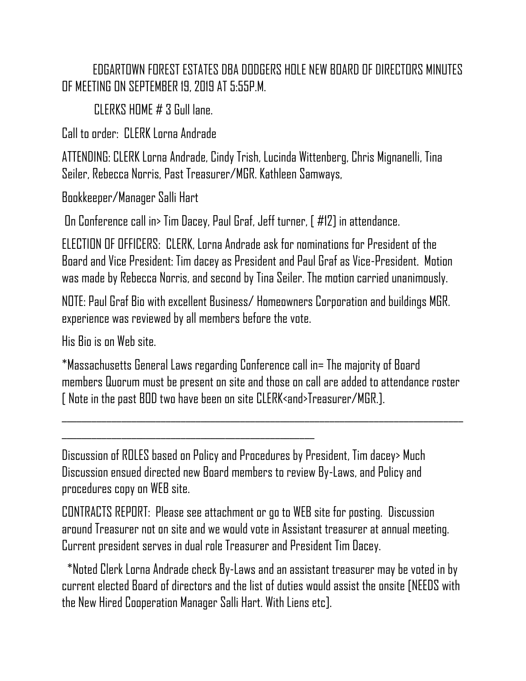EDGARTOWN FOREST ESTATES DBA DODGERS HOLE NEW BOARD OF DIRECTORS MINUTES OF MEETING ON SEPTEMBER 19, 2019 AT 5:55P.M.

CLERKS HOME # 3 Gull lane.

Call to order: CLERK Lorna Andrade

ATTENDING: CLERK Lorna Andrade, Cindy Trish, Lucinda Wittenberg, Chris Mignanelli, Tina Seiler, Rebecca Norris, Past Treasurer/MGR. Kathleen Samways,

Bookkeeper/Manager Salli Hart

On Conference call in> Tim Dacey, Paul Graf, Jeff turner, [ #12] in attendance.

ELECTION OF OFFICERS: CLERK, Lorna Andrade ask for nominations for President of the Board and Vice President: Tim dacey as President and Paul Graf as Vice-President. Motion was made by Rebecca Norris, and second by Tina Seiler. The motion carried unanimously.

NOTE: Paul Graf Bio with excellent Business/ Homeowners Corporation and buildings MGR. experience was reviewed by all members before the vote.

His Bio is on Web site.

\*Massachusetts General Laws regarding Conference call in= The majority of Board members Quorum must be present on site and those on call are added to attendance roster [ Note in the past BOD two have been on site CLERK<and>Treasurer/MGR.].

\_\_\_\_\_\_\_\_\_\_\_\_\_\_\_\_\_\_\_\_\_\_\_\_\_\_\_\_\_\_\_\_\_\_\_\_\_\_\_\_\_\_\_\_\_\_\_\_\_\_\_\_\_\_\_\_\_\_\_\_\_\_\_\_\_\_\_\_\_\_\_\_\_\_\_\_\_\_\_\_\_

Discussion of ROLES based on Policy and Procedures by President, Tim dacey> Much Discussion ensued directed new Board members to review By-Laws, and Policy and procedures copy on WEB site.

CONTRACTS REPORT: Please see attachment or go to WEB site for posting. Discussion around Treasurer not on site and we would vote in Assistant treasurer at annual meeting. Current president serves in dual role Treasurer and President Tim Dacey.

 \*Noted Clerk Lorna Andrade check By-Laws and an assistant treasurer may be voted in by current elected Board of directors and the list of duties would assist the onsite [NEEDS with the New Hired Cooperation Manager Salli Hart. With Liens etc].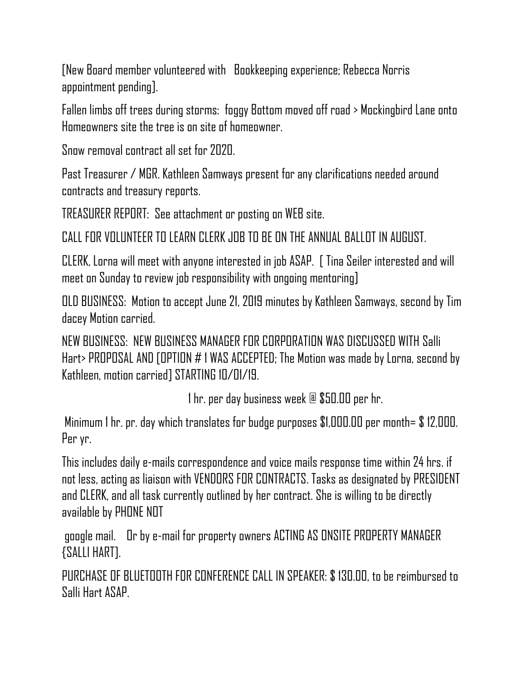[New Board member volunteered with Bookkeeping experience; Rebecca Norris appointment pending].

Fallen limbs off trees during storms: foggy Bottom moved off road > Mockingbird Lane onto Homeowners site the tree is on site of homeowner.

Snow removal contract all set for 2020.

Past Treasurer / MGR. Kathleen Samways present for any clarifications needed around contracts and treasury reports.

TREASURER REPORT: See attachment or posting on WEB site.

CALL FOR VOLUNTEER TO LEARN CLERK JOB TO BE ON THE ANNUAL BALLOT IN AUGUST.

CLERK, Lorna will meet with anyone interested in job ASAP. [ Tina Seiler interested and will meet on Sunday to review job responsibility with ongoing mentoring]

OLD BUSINESS: Motion to accept June 21, 2019 minutes by Kathleen Samways, second by Tim dacey Motion carried.

NEW BUSINESS: NEW BUSINESS MANAGER FOR CORPORATION WAS DISCUSSED WITH Salli Hart> PROPOSAL AND [OPTION # 1 WAS ACCEPTED; The Motion was made by Lorna, second by Kathleen, motion carried] STARTING 10/01/19.

1 hr. per day business week @ \$50.00 per hr.

Minimum 1 hr. pr. day which translates for budge purposes \$1,000.00 per month= \$ 12,000. Per yr.

This includes daily e-mails correspondence and voice mails response time within 24 hrs. if not less, acting as liaison with VENDORS FOR CONTRACTS. Tasks as designated by PRESIDENT and CLERK, and all task currently outlined by her contract. She is willing to be directly available by PHONE NOT

google mail. Or by e-mail for property owners ACTING AS ONSITE PROPERTY MANAGER {SALLI HART].

PURCHASE OF BLUETOOTH FOR CONFERENCE CALL IN SPEAKER: \$ 130.00, to be reimbursed to Salli Hart ASAP.